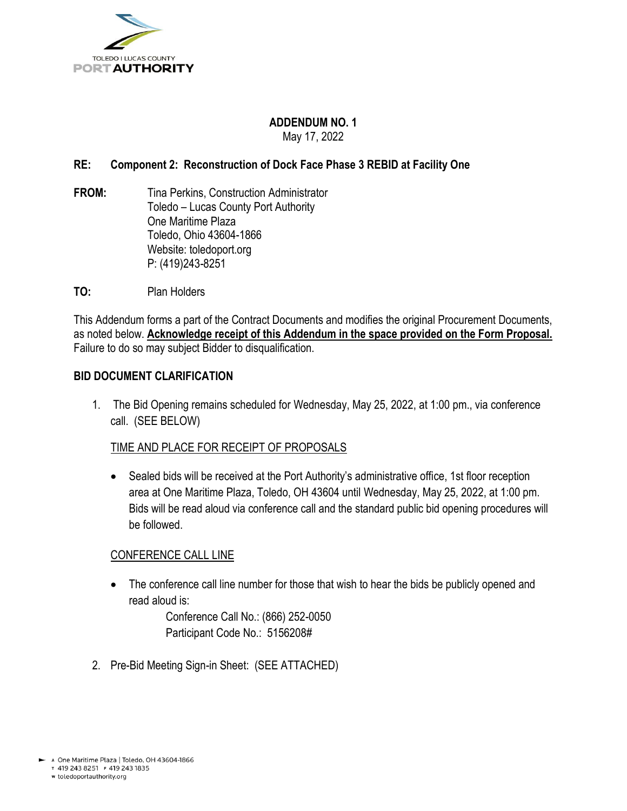

#### **ADDENDUM NO. 1** May 17, 2022

## **RE: Component 2: Reconstruction of Dock Face Phase 3 REBID at Facility One**

- **FROM:** Tina Perkins, Construction Administrator Toledo – Lucas County Port Authority One Maritime Plaza Toledo, Ohio 43604-1866 Website: toledoport.org P: (419)243-8251
- **TO:** Plan Holders

This Addendum forms a part of the Contract Documents and modifies the original Procurement Documents, as noted below. **Acknowledge receipt of this Addendum in the space provided on the Form Proposal.**  Failure to do so may subject Bidder to disqualification.

#### **BID DOCUMENT CLARIFICATION**

1. The Bid Opening remains scheduled for Wednesday, May 25, 2022, at 1:00 pm., via conference call. (SEE BELOW)

## TIME AND PLACE FOR RECEIPT OF PROPOSALS

• Sealed bids will be received at the Port Authority's administrative office, 1st floor reception area at One Maritime Plaza, Toledo, OH 43604 until Wednesday, May 25, 2022, at 1:00 pm. Bids will be read aloud via conference call and the standard public bid opening procedures will be followed.

#### CONFERENCE CALL LINE

• The conference call line number for those that wish to hear the bids be publicly opened and read aloud is:

> Conference Call No.: (866) 252-0050 Participant Code No.: 5156208#

2. Pre-Bid Meeting Sign-in Sheet: (SEE ATTACHED)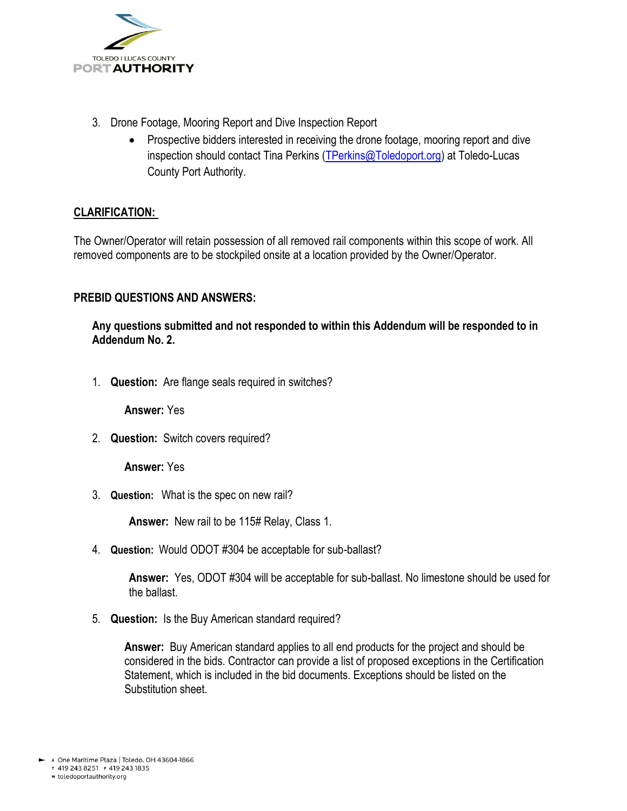

- 3. Drone Footage, Mooring Report and Dive Inspection Report
	- Prospective bidders interested in receiving the drone footage, mooring report and dive inspection should contact Tina Perkins [\(TPerkins@Toledoport.org\)](mailto:TPerkins@Toledoport.org) at Toledo-Lucas County Port Authority.

## **CLARIFICATION:**

The Owner/Operator will retain possession of all removed rail components within this scope of work. All removed components are to be stockpiled onsite at a location provided by the Owner/Operator.

## **PREBID QUESTIONS AND ANSWERS:**

**Any questions submitted and not responded to within this Addendum will be responded to in Addendum No. 2.**

1. **Question:** Are flange seals required in switches?

**Answer:** Yes

2. **Question:** Switch covers required?

**Answer:** Yes

3. **Question:** What is the spec on new rail?

**Answer:** New rail to be 115# Relay, Class 1.

4. **Question:** Would ODOT #304 be acceptable for sub-ballast?

**Answer:** Yes, ODOT #304 will be acceptable for sub-ballast. No limestone should be used for the ballast.

5. **Question:** Is the Buy American standard required?

**Answer:** Buy American standard applies to all end products for the project and should be considered in the bids. Contractor can provide a list of proposed exceptions in the Certification Statement, which is included in the bid documents. Exceptions should be listed on the Substitution sheet.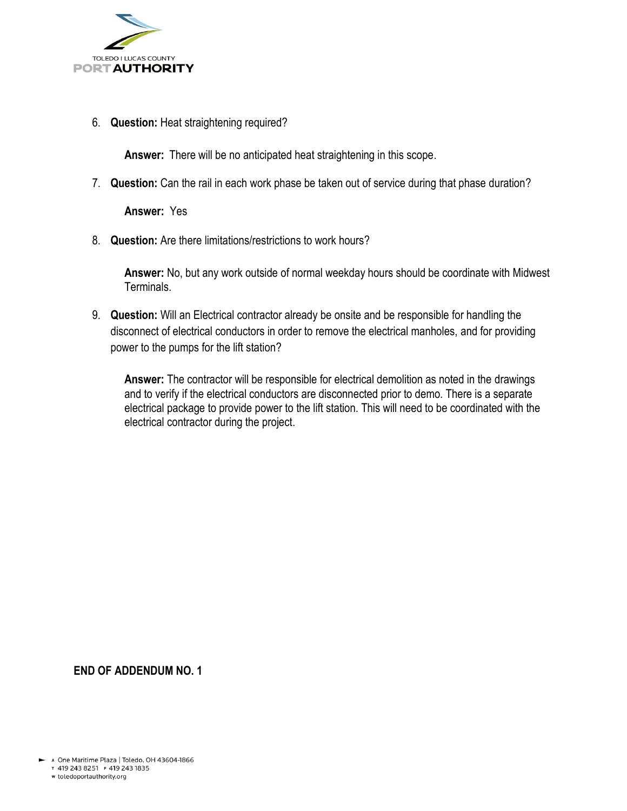

6. **Question:** Heat straightening required?

**Answer:** There will be no anticipated heat straightening in this scope.

7. **Question:** Can the rail in each work phase be taken out of service during that phase duration?

**Answer:** Yes

8. **Question:** Are there limitations/restrictions to work hours?

**Answer:** No, but any work outside of normal weekday hours should be coordinate with Midwest Terminals.

9. **Question:** Will an Electrical contractor already be onsite and be responsible for handling the disconnect of electrical conductors in order to remove the electrical manholes, and for providing power to the pumps for the lift station?

**Answer:** The contractor will be responsible for electrical demolition as noted in the drawings and to verify if the electrical conductors are disconnected prior to demo. There is a separate electrical package to provide power to the lift station. This will need to be coordinated with the electrical contractor during the project.

**END OF ADDENDUM NO. 1**